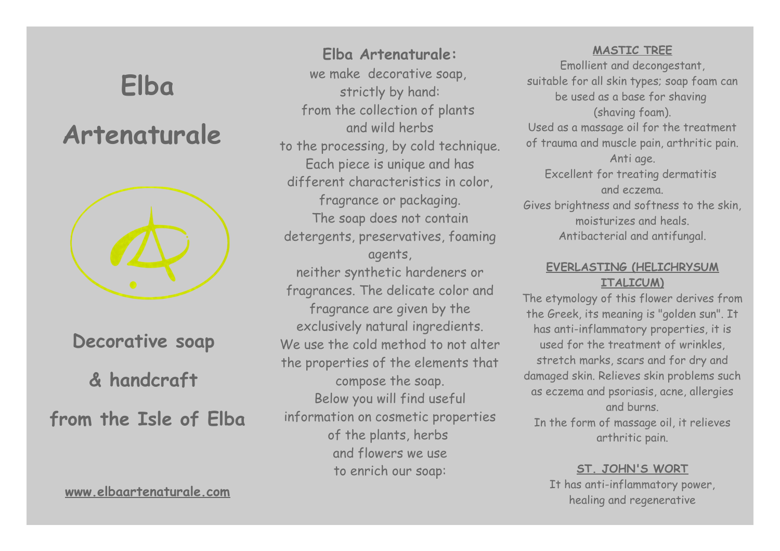# **Elba Artenaturale Decorative soap & handcraft from the Isle of Elba**

**[www.elbaartenaturale.com](http://www.elbaartenaturale.com/)**

**Elba Artenaturale:** we make decorative soap, strictly by hand: from the collection of plants and wild herbs to the processing, by cold technique. Each piece is unique and has different characteristics in color, fragrance or packaging. The soap does not contain detergents, preservatives, foaming agents, neither synthetic hardeners or fragrances. The delicate color and fragrance are given by the exclusively natural ingredients. We use the cold method to not alter the properties of the elements that compose the soap. Below you will find useful information on cosmetic properties of the plants, herbs and flowers we use to enrich our soap:

#### **MASTIC TREE**

Emollient and decongestant, suitable for all skin types; soap foam can be used as a base for shaving (shaving foam). Used as a massage oil for the treatment of trauma and muscle pain, arthritic pain. Anti age. Excellent for treating dermatitis and eczema. Gives brightness and softness to the skin, moisturizes and heals. Antibacterial and antifungal.

# **EVERLASTING (HELICHRYSUM ITALICUM)**

The etymology of this flower derives from the Greek, its meaning is "golden sun". It has anti-inflammatory properties, it is used for the treatment of wrinkles, stretch marks, scars and for dry and damaged skin. Relieves skin problems such as eczema and psoriasis, acne, allergies and burns. In the form of massage oil, it relieves arthritic pain.

#### **ST. JOHN'S WORT**

It has anti-inflammatory power, healing and regenerative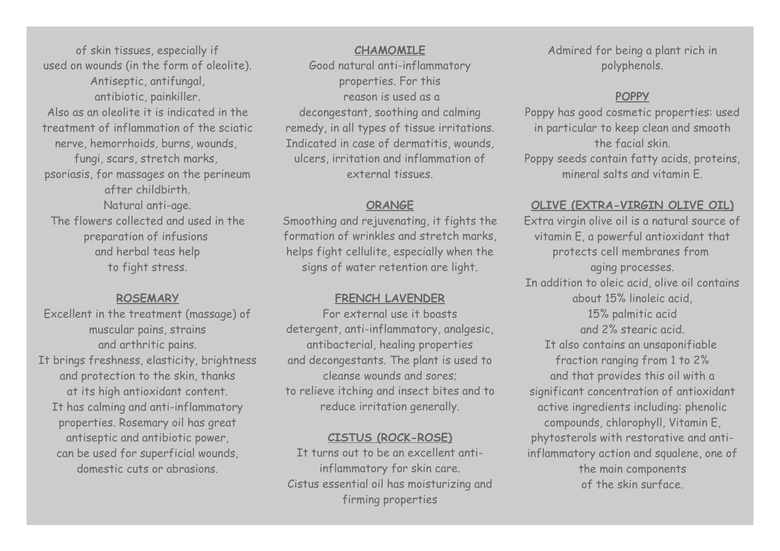of skin tissues, especially if used on wounds (in the form of oleolite). Antiseptic, antifungal, antibiotic, painkiller. Also as an oleolite it is indicated in the treatment of inflammation of the sciatic nerve, hemorrhoids, burns, wounds, fungi, scars, stretch marks, psoriasis, for massages on the perineum after childbirth. Natural anti-age. The flowers collected and used in the preparation of infusions and herbal teas help to fight stress.

#### **ROSEMARY**

Excellent in the treatment (massage) of muscular pains, strains and arthritic pains. It brings freshness, elasticity, brightness and protection to the skin, thanks at its high antioxidant content. It has calming and anti-inflammatory properties. Rosemary oil has great antiseptic and antibiotic power, can be used for superficial wounds, domestic cuts or abrasions.

**CHAMOMILE** Good natural anti-inflammatory properties. For this reason is used as a decongestant, soothing and calming remedy, in all types of tissue irritations. Indicated in case of dermatitis, wounds, ulcers, irritation and inflammation of external tissues.

# **ORANGE**

Smoothing and rejuvenating, it fights the formation of wrinkles and stretch marks, helps fight cellulite, especially when the signs of water retention are light.

# **FRENCH LAVENDER**

For external use it boasts detergent, anti-inflammatory, analgesic, antibacterial, healing properties and decongestants. The plant is used to cleanse wounds and sores; to relieve itching and insect bites and to reduce irritation generally.

# **CISTUS (ROCK-ROSE)**

It turns out to be an excellent antiinflammatory for skin care. Cistus essential oil has moisturizing and firming properties

Admired for being a plant rich in polyphenols.

# **POPPY**

Poppy has good cosmetic properties: used in particular to keep clean and smooth the facial skin. Poppy seeds contain fatty acids, proteins, mineral salts and vitamin E.

# **OLIVE (EXTRA-VIRGIN OLIVE OIL)**

Extra virgin olive oil is a natural source of vitamin E, a powerful antioxidant that protects cell membranes from aging processes. In addition to oleic acid, olive oil contains about 15% linoleic acid, 15% palmitic acid and 2% stearic acid. It also contains an unsaponifiable fraction ranging from 1 to 2% and that provides this oil with a significant concentration of antioxidant active ingredients including: phenolic compounds, chlorophyll, Vitamin E, phytosterols with restorative and antiinflammatory action and squalene, one of the main components of the skin surface.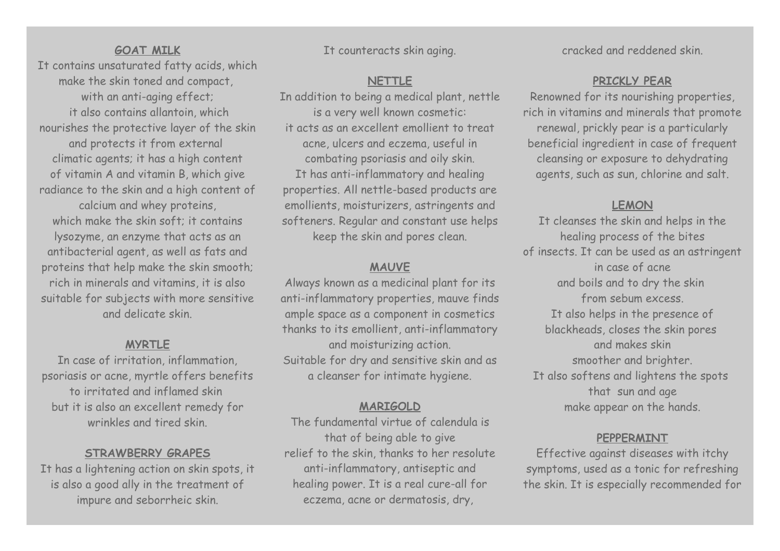#### **GOAT MILK**

It contains unsaturated fatty acids, which make the skin toned and compact, with an anti-aging effect; it also contains allantoin, which nourishes the protective layer of the skin and protects it from external climatic agents; it has a high content of vitamin A and vitamin B, which give radiance to the skin and a high content of calcium and whey proteins, which make the skin soft; it contains lysozyme, an enzyme that acts as an antibacterial agent, as well as fats and proteins that help make the skin smooth; rich in minerals and vitamins, it is also suitable for subjects with more sensitive and delicate skin.

#### **MYRTLE**

In case of irritation, inflammation, psoriasis or acne, myrtle offers benefits to irritated and inflamed skin but it is also an excellent remedy for wrinkles and tired skin.

#### **STRAWBERRY GRAPES**

It has a lightening action on skin spots, it is also a good ally in the treatment of impure and seborrheic skin.

It counteracts skin aging.

# **NETTLE**

In addition to being a medical plant, nettle is a very well known cosmetic: it acts as an excellent emollient to treat acne, ulcers and eczema, useful in combating psoriasis and oily skin. It has anti-inflammatory and healing properties. All nettle-based products are emollients, moisturizers, astringents and softeners. Regular and constant use helps keep the skin and pores clean.

#### **MAUVE**

Always known as a medicinal plant for its anti-inflammatory properties, mauve finds ample space as a component in cosmetics thanks to its emollient, anti-inflammatory and moisturizing action. Suitable for dry and sensitive skin and as a cleanser for intimate hygiene.

#### **MARIGOLD**

The fundamental virtue of calendula is that of being able to give relief to the skin, thanks to her resolute anti-inflammatory, antiseptic and healing power. It is a real cure-all for eczema, acne or dermatosis, dry,

cracked and reddened skin.

# **PRICKLY PEAR**

Renowned for its nourishing properties, rich in vitamins and minerals that promote renewal, prickly pear is a particularly beneficial ingredient in case of frequent cleansing or exposure to dehydrating agents, such as sun, chlorine and salt.

# **LEMON**

It cleanses the skin and helps in the healing process of the bites of insects. It can be used as an astringent in case of acne and boils and to dry the skin from sebum excess. It also helps in the presence of blackheads, closes the skin pores and makes skin smoother and brighter. It also softens and lightens the spots that sun and age make appear on the hands.

#### **PEPPERMINT**

Effective against diseases with itchy symptoms, used as a tonic for refreshing the skin. It is especially recommended for